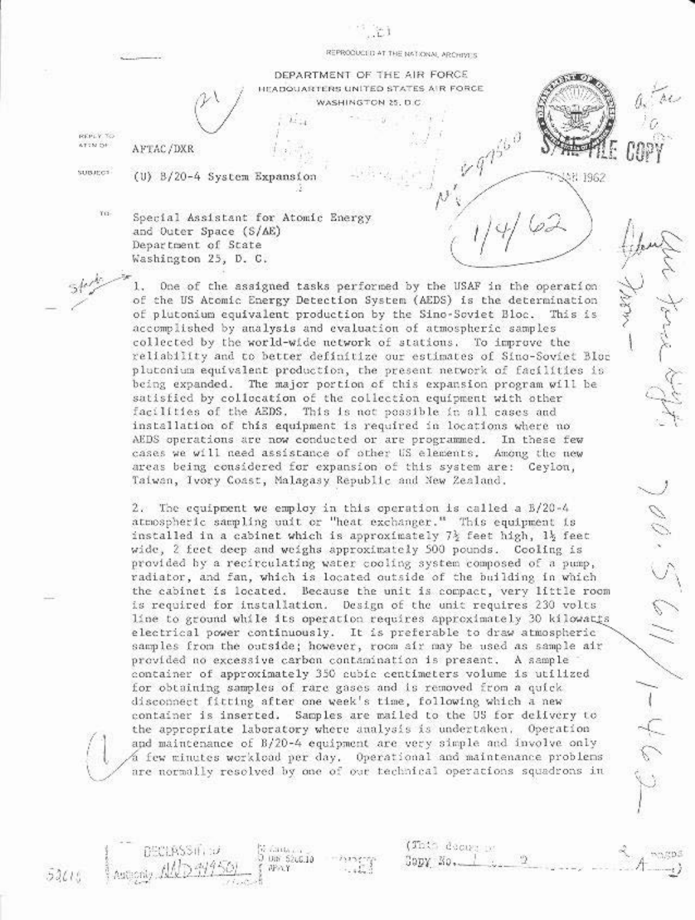SH 1962

 $\mathscr{O}(\cdot, \mathcal{S})$ 

 $\gamma \rightarrow -1$ 

DEPARTMENT OF THE AIR FORCE HEADQUARTERS UNITED STATES AIR FORCE. WASHINGTON 25, D.C.

REPLY TO ATTN OF

AFTAC/DXR

**SUBJECT** 

(U) B/20-4 System Expansion

TO-Special Assistant for Atomic Energy and Outer Space (S/AE) Department of State Washington 25, D. C.

> One of the assigned tasks performed by the USAF in the operation  $1$ of the US Atomic Energy Detection System (AEDS) is the determination of plutonium equivalent production by the Sino-Soviet Bloc. This is accomplished by analysis and evaluation of atmospheric samples collected by the world-wide network of stations. To improve the reliability and to better definitize our estimates of Sino-Soviet Bluc plutonium equivalent production, the present network of facilities is being expanded. The major portion of this expansion program will be satisfied by collocation of the collection equipment with other facilities of the AEDS. This is not possible in all cases and installation of this equipment is required in locations where no AEDS operations are now conducted or are programmed. In these few cases we will need assistance of other US elements. Among the new areas being considered for expansion of this system are: Ceylon, Taiwan, Ivory Coast, Malagasy Republic and New Zealand.

> 2. The equipment we employ in this operation is called a B/20-4 atmospheric sampling unit or "heat exchanger." This equipment is installed in a cabinet which is approximately 7} feet high, 1} feet wide, 2 feet deep and weighs approximately 500 pounds. Cooling is provided by a recirculating water cooling system composed of a pump, radiator, and fan, which is located outside of the building in which the cabinet is located. Because the unit is compact, very little room is required for installation. Design of the unit requires 230 volts line to ground while its operation requires approximately 30 kilowatts electrical power continuously. It is preferable to draw atmospheric samples from the outside; however, room air may be used as sample air provided no excessive carbon contamination is present. A sample container of approximately 350 cubic centimeters volume is utilized for obtaining samples of rare gases and is removed from a quick disconnect fitting after one week's time, following which a new container is inserted. Samples are mailed to the US for delivery to the appropriate laboratory where analysis is undertaken. Operation and maintenance of B/20-4 equipment are very simple and involve only a few minutes workload per day. Operational and maintenance problems are normally resolved by one of our technical operations squadrons in

> > 6306 L Diff: 52(3,10)

评价》

(This decays in

GODY NO.

 $52000$